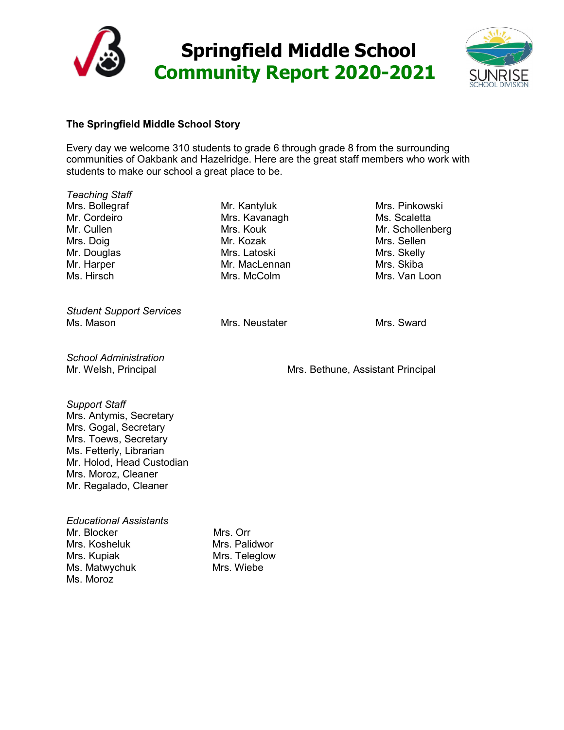



# **The Springfield Middle School Story**

Every day we welcome 310 students to grade 6 through grade 8 from the surrounding communities of Oakbank and Hazelridge. Here are the great staff members who work with students to make our school a great place to be.

*Teaching Staff* Mrs. Bollegraf Mr. Cordeiro Mr. Cullen Mrs. Doig Mr. Douglas Mr. Harper Ms. Hirsch

*Student Support Services* Ms. Mason **Mrs. Neustater** Mrs. Neustater Mrs. Sward

Mr. Kantyluk Mrs. Kavanagh Mrs. Kouk Mr. Kozak Mrs. Latoski Mr. MacLennan Mrs. McColm

Mrs. Pinkowski Ms. Scaletta Mr. Schollenberg Mrs. Sellen Mrs. Skelly Mrs. Skiba Mrs. Van Loon

*School Administration*

Mr. Welsh, Principal Mrs. Bethune, Assistant Principal

*Support Staff*

Mrs. Antymis, Secretary Mrs. Gogal, Secretary Mrs. Toews, Secretary Ms. Fetterly, Librarian Mr. Holod, Head Custodian Mrs. Moroz, Cleaner Mr. Regalado, Cleaner

| <b>Educational Assistants</b> |               |
|-------------------------------|---------------|
| Mr. Blocker                   | Mrs. Orr      |
| Mrs. Kosheluk                 | Mrs. Palidwor |
| Mrs. Kupiak                   | Mrs. Teleglow |
| Ms. Matwychuk                 | Mrs. Wiebe    |
| Ms. Moroz                     |               |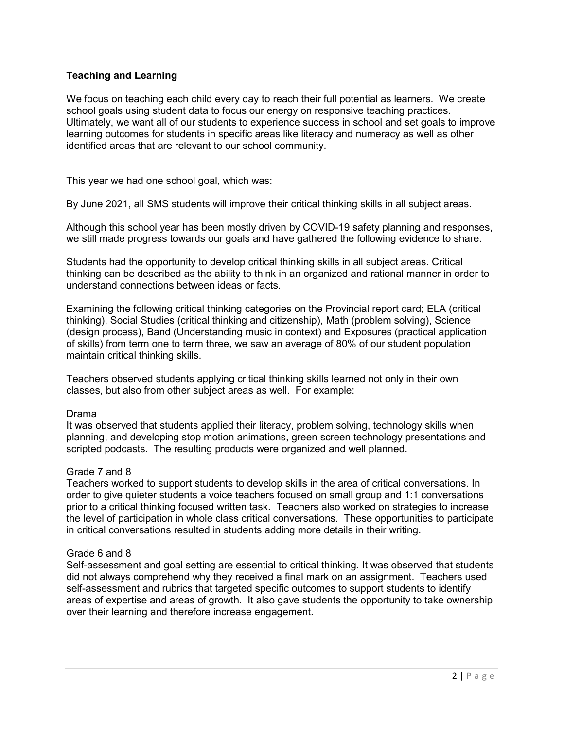# **Teaching and Learning**

We focus on teaching each child every day to reach their full potential as learners. We create school goals using student data to focus our energy on responsive teaching practices. Ultimately, we want all of our students to experience success in school and set goals to improve learning outcomes for students in specific areas like literacy and numeracy as well as other identified areas that are relevant to our school community.

This year we had one school goal, which was:

By June 2021, all SMS students will improve their critical thinking skills in all subject areas.

Although this school year has been mostly driven by COVID-19 safety planning and responses, we still made progress towards our goals and have gathered the following evidence to share.

Students had the opportunity to develop critical thinking skills in all subject areas. Critical thinking can be described as the ability to think in an organized and rational manner in order to understand connections between ideas or facts.

Examining the following critical thinking categories on the Provincial report card; ELA (critical thinking), Social Studies (critical thinking and citizenship), Math (problem solving), Science (design process), Band (Understanding music in context) and Exposures (practical application of skills) from term one to term three, we saw an average of 80% of our student population maintain critical thinking skills.

Teachers observed students applying critical thinking skills learned not only in their own classes, but also from other subject areas as well. For example:

#### Drama

It was observed that students applied their literacy, problem solving, technology skills when planning, and developing stop motion animations, green screen technology presentations and scripted podcasts. The resulting products were organized and well planned.

#### Grade 7 and 8

Teachers worked to support students to develop skills in the area of critical conversations. In order to give quieter students a voice teachers focused on small group and 1:1 conversations prior to a critical thinking focused written task. Teachers also worked on strategies to increase the level of participation in whole class critical conversations. These opportunities to participate in critical conversations resulted in students adding more details in their writing.

#### Grade 6 and 8

Self-assessment and goal setting are essential to critical thinking. It was observed that students did not always comprehend why they received a final mark on an assignment. Teachers used self-assessment and rubrics that targeted specific outcomes to support students to identify areas of expertise and areas of growth. It also gave students the opportunity to take ownership over their learning and therefore increase engagement.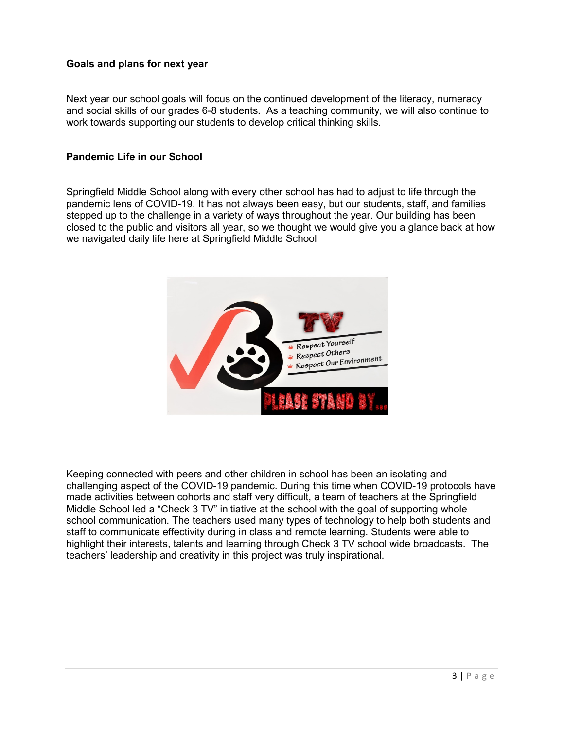## **Goals and plans for next year**

Next year our school goals will focus on the continued development of the literacy, numeracy and social skills of our grades 6-8 students. As a teaching community, we will also continue to work towards supporting our students to develop critical thinking skills.

### **Pandemic Life in our School**

Springfield Middle School along with every other school has had to adjust to life through the pandemic lens of COVID-19. It has not always been easy, but our students, staff, and families stepped up to the challenge in a variety of ways throughout the year. Our building has been closed to the public and visitors all year, so we thought we would give you a glance back at how we navigated daily life here at Springfield Middle School



Keeping connected with peers and other children in school has been an isolating and challenging aspect of the COVID-19 pandemic. During this time when COVID-19 protocols have made activities between cohorts and staff very difficult, a team of teachers at the Springfield Middle School led a "Check 3 TV" initiative at the school with the goal of supporting whole school communication. The teachers used many types of technology to help both students and staff to communicate effectivity during in class and remote learning. Students were able to highlight their interests, talents and learning through Check 3 TV school wide broadcasts. The teachers' leadership and creativity in this project was truly inspirational.